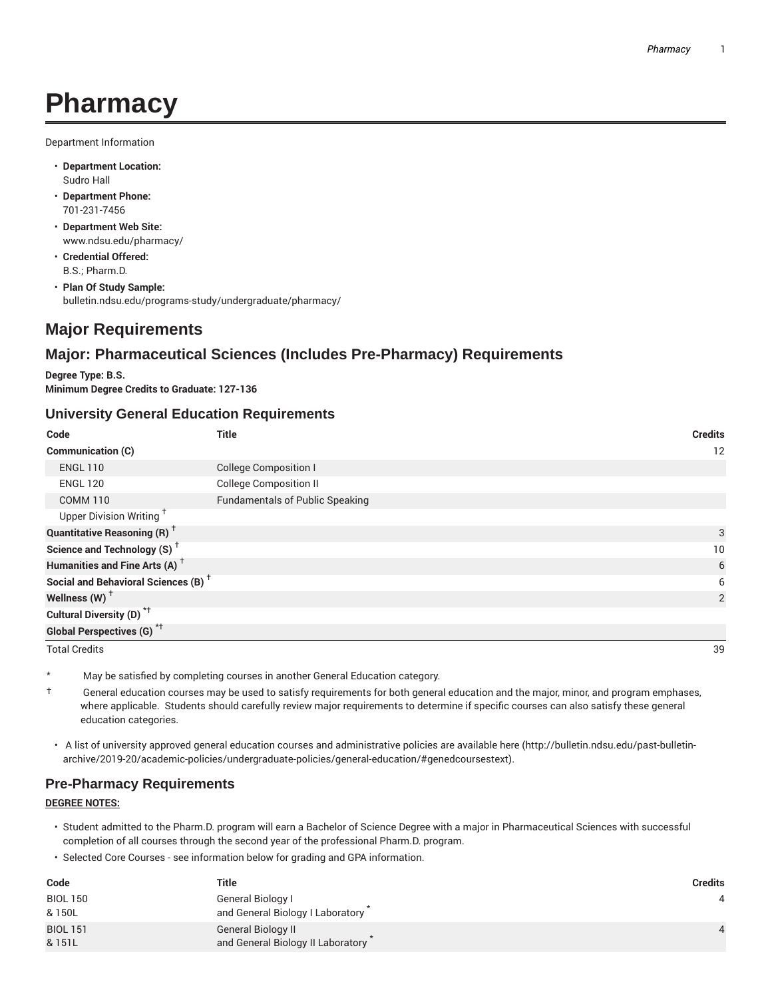# **Pharmacy**

Department Information

- **Department Location:** Sudro Hall
- **Department Phone:** 701-231-7456
- **Department Web Site:** www.ndsu.edu/pharmacy/
- **Credential Offered:** B.S.; Pharm.D.
- **Plan Of Study Sample:** bulletin.ndsu.edu/programs-study/undergraduate/pharmacy/

# **Major Requirements**

# **Major: Pharmaceutical Sciences (Includes Pre-Pharmacy) Requirements**

**Degree Type: B.S. Minimum Degree Credits to Graduate: 127-136**

#### **University General Education Requirements**

| Code                                            | <b>Title</b>                           | <b>Credits</b> |
|-------------------------------------------------|----------------------------------------|----------------|
| <b>Communication (C)</b>                        |                                        | 12             |
| <b>ENGL 110</b>                                 | <b>College Composition I</b>           |                |
| <b>ENGL 120</b>                                 | <b>College Composition II</b>          |                |
| <b>COMM 110</b>                                 | <b>Fundamentals of Public Speaking</b> |                |
| Upper Division Writing <sup>†</sup>             |                                        |                |
| <b>Quantitative Reasoning (R)</b> <sup>†</sup>  |                                        | 3              |
| Science and Technology (S) <sup>+</sup>         |                                        | 10             |
| Humanities and Fine Arts (A) <sup>+</sup>       |                                        | 6              |
| Social and Behavioral Sciences (B) <sup>+</sup> |                                        | 6              |
| Wellness (W) $^{\dagger}$                       |                                        | 2              |
| Cultural Diversity (D) <sup>*†</sup>            |                                        |                |
| Global Perspectives (G) <sup>*†</sup>           |                                        |                |

Total Credits 39

\* May be satisfied by completing courses in another General Education category.

- $\dagger$  General education courses may be used to satisfy requirements for both general education and the major, minor, and program emphases, where applicable. Students should carefully review major requirements to determine if specific courses can also satisfy these general education categories.
- A list of university approved general education courses and administrative policies are available here (http://bulletin.ndsu.edu/past-bulletinarchive/2019-20/academic-policies/undergraduate-policies/general-education/#genedcoursestext).

## **Pre-Pharmacy Requirements**

#### **DEGREE NOTES:**

- Student admitted to the Pharm.D. program will earn a Bachelor of Science Degree with a major in Pharmaceutical Sciences with successful completion of all courses through the second year of the professional Pharm.D. program.
- Selected Core Courses see information below for grading and GPA information.

| Code            | Title                             | Credits |
|-----------------|-----------------------------------|---------|
| <b>BIOL 150</b> | General Biology I                 |         |
| & 150L          | and General Biology I Laboratory  |         |
| <b>BIOL 151</b> | <b>General Biology II</b>         |         |
| & 151L          | and General Biology II Laboratory |         |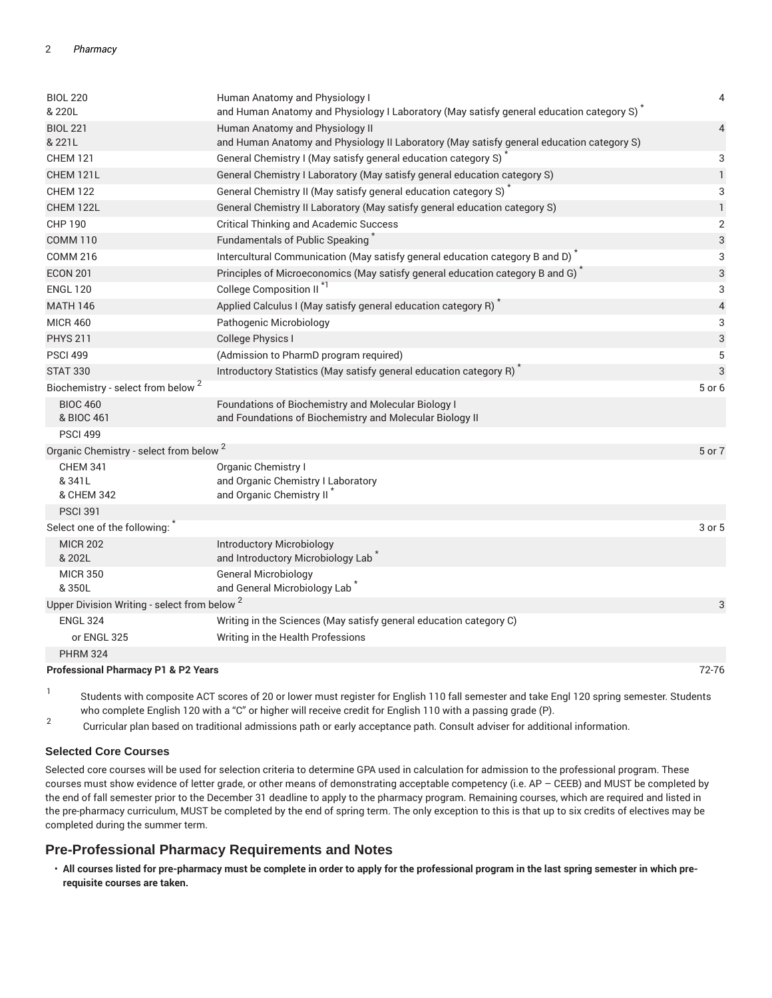| <b>BIOL 220</b>                                         | Human Anatomy and Physiology I                                                                                               | $\overline{4}$ |
|---------------------------------------------------------|------------------------------------------------------------------------------------------------------------------------------|----------------|
| & 220L                                                  | and Human Anatomy and Physiology I Laboratory (May satisfy general education category S)                                     |                |
| <b>BIOL 221</b><br>& 221L                               | Human Anatomy and Physiology II<br>and Human Anatomy and Physiology II Laboratory (May satisfy general education category S) | $\overline{4}$ |
| <b>CHEM 121</b>                                         | General Chemistry I (May satisfy general education category S)                                                               | 3              |
| CHEM 121L                                               | General Chemistry I Laboratory (May satisfy general education category S)                                                    | $\mathbf{1}$   |
| <b>CHEM 122</b>                                         | General Chemistry II (May satisfy general education category S)                                                              | 3              |
| CHEM 122L                                               | General Chemistry II Laboratory (May satisfy general education category S)                                                   | $\mathbf{1}$   |
| <b>CHP 190</b>                                          | <b>Critical Thinking and Academic Success</b>                                                                                | $\overline{2}$ |
| <b>COMM 110</b>                                         | Fundamentals of Public Speaking                                                                                              | 3              |
| <b>COMM 216</b>                                         | Intercultural Communication (May satisfy general education category B and D) <sup>*</sup>                                    | 3              |
| <b>ECON 201</b>                                         | Principles of Microeconomics (May satisfy general education category B and G) <sup>*</sup>                                   | $\sqrt{3}$     |
| <b>ENGL 120</b>                                         | College Composition II <sup>*1</sup>                                                                                         | 3              |
| <b>MATH 146</b>                                         | Applied Calculus I (May satisfy general education category R)                                                                | $\overline{4}$ |
| <b>MICR 460</b>                                         | Pathogenic Microbiology                                                                                                      | 3              |
| <b>PHYS 211</b>                                         | <b>College Physics I</b>                                                                                                     | 3              |
| <b>PSCI 499</b>                                         | (Admission to PharmD program required)                                                                                       | 5              |
| <b>STAT 330</b>                                         | Introductory Statistics (May satisfy general education category R)                                                           | 3              |
| Biochemistry - select from below <sup>2</sup>           |                                                                                                                              | 5 or 6         |
| <b>BIOC 460</b>                                         | Foundations of Biochemistry and Molecular Biology I                                                                          |                |
| & BIOC 461                                              | and Foundations of Biochemistry and Molecular Biology II                                                                     |                |
| <b>PSCI 499</b>                                         |                                                                                                                              |                |
| Organic Chemistry - select from below <sup>2</sup>      |                                                                                                                              | 5 or 7         |
| <b>CHEM 341</b>                                         | Organic Chemistry I                                                                                                          |                |
| & 341L<br>& CHEM 342                                    | and Organic Chemistry I Laboratory<br>and Organic Chemistry II <sup>*</sup>                                                  |                |
| <b>PSCI 391</b>                                         |                                                                                                                              |                |
| Select one of the following:                            |                                                                                                                              | 3 or 5         |
| <b>MICR 202</b>                                         | <b>Introductory Microbiology</b>                                                                                             |                |
| & 202L                                                  | and Introductory Microbiology Lab                                                                                            |                |
| <b>MICR 350</b>                                         | <b>General Microbiology</b>                                                                                                  |                |
| &350L                                                   | and General Microbiology Lab                                                                                                 |                |
| Upper Division Writing - select from below <sup>2</sup> |                                                                                                                              | 3              |
| <b>ENGL 324</b>                                         | Writing in the Sciences (May satisfy general education category C)                                                           |                |
| or ENGL 325                                             | Writing in the Health Professions                                                                                            |                |
| <b>PHRM 324</b>                                         |                                                                                                                              |                |
| <b>Professional Pharmacy P1 &amp; P2 Vears</b>          |                                                                                                                              | 72-76          |

**Professional Pharmacy P1 & P2 Years** 72-76

1 Students with composite ACT scores of 20 or lower must register for English 110 fall semester and take Engl 120 spring semester. Students who complete English 120 with a "C" or higher will receive credit for English 110 with a passing grade (P).

2 Curricular plan based on traditional admissions path or early acceptance path. Consult adviser for additional information.

#### **Selected Core Courses**

Selected core courses will be used for selection criteria to determine GPA used in calculation for admission to the professional program. These courses must show evidence of letter grade, or other means of demonstrating acceptable competency (i.e. AP - CEEB) and MUST be completed by the end of fall semester prior to the December 31 deadline to apply to the pharmacy program. Remaining courses, which are required and listed in the pre-pharmacy curriculum, MUST be completed by the end of spring term. The only exception to this is that up to six credits of electives may be completed during the summer term.

#### **Pre-Professional Pharmacy Requirements and Notes**

• **All courses listed for pre-pharmacy must be complete in order to apply for the professional program in the last spring semester in which prerequisite courses are taken.**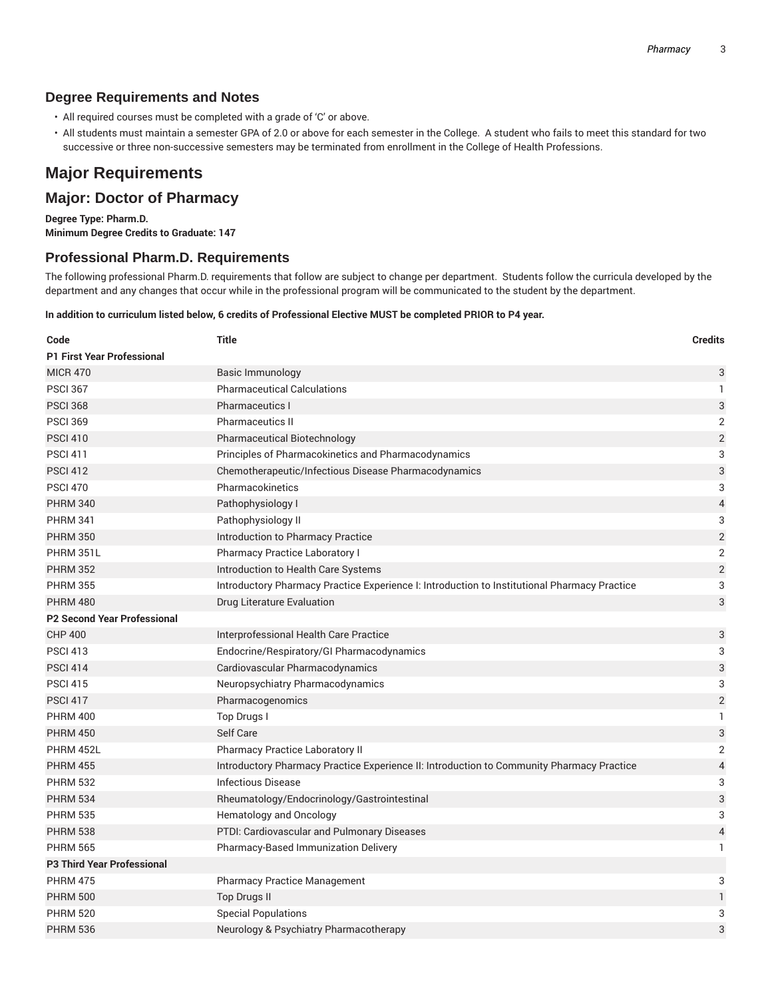## **Degree Requirements and Notes**

- All required courses must be completed with a grade of 'C' or above.
- All students must maintain a semester GPA of 2.0 or above for each semester in the College. A student who fails to meet this standard for two successive or three non-successive semesters may be terminated from enrollment in the College of Health Professions.

# **Major Requirements**

# **Major: Doctor of Pharmacy**

**Degree Type: Pharm.D. Minimum Degree Credits to Graduate: 147**

## **Professional Pharm.D. Requirements**

The following professional Pharm.D. requirements that follow are subject to change per department. Students follow the curricula developed by the department and any changes that occur while in the professional program will be communicated to the student by the department.

#### In addition to curriculum listed below, 6 credits of Professional Elective MUST be completed PRIOR to P4 year.

| Code                               | <b>Title</b>                                                                                 | <b>Credits</b>           |
|------------------------------------|----------------------------------------------------------------------------------------------|--------------------------|
| <b>P1 First Year Professional</b>  |                                                                                              |                          |
| <b>MICR 470</b>                    | Basic Immunology                                                                             | 3                        |
| <b>PSCI 367</b>                    | <b>Pharmaceutical Calculations</b>                                                           | 1                        |
| <b>PSCI 368</b>                    | <b>Pharmaceutics I</b>                                                                       | 3                        |
| <b>PSCI 369</b>                    | <b>Pharmaceutics II</b>                                                                      | 2                        |
| <b>PSCI 410</b>                    | Pharmaceutical Biotechnology                                                                 | $\overline{2}$           |
| <b>PSCI 411</b>                    | Principles of Pharmacokinetics and Pharmacodynamics                                          | 3                        |
| <b>PSCI 412</b>                    | Chemotherapeutic/Infectious Disease Pharmacodynamics                                         | 3                        |
| <b>PSCI 470</b>                    | Pharmacokinetics                                                                             | 3                        |
| <b>PHRM 340</b>                    | Pathophysiology I                                                                            | 4                        |
| <b>PHRM 341</b>                    | Pathophysiology II                                                                           | 3                        |
| <b>PHRM 350</b>                    | Introduction to Pharmacy Practice                                                            | $\overline{c}$           |
| PHRM 351L                          | Pharmacy Practice Laboratory I                                                               | 2                        |
| <b>PHRM 352</b>                    | Introduction to Health Care Systems                                                          | $\sqrt{2}$               |
| <b>PHRM 355</b>                    | Introductory Pharmacy Practice Experience I: Introduction to Institutional Pharmacy Practice | 3                        |
| <b>PHRM 480</b>                    | Drug Literature Evaluation                                                                   | 3                        |
| <b>P2 Second Year Professional</b> |                                                                                              |                          |
| <b>CHP 400</b>                     | Interprofessional Health Care Practice                                                       | 3                        |
| <b>PSCI 413</b>                    | Endocrine/Respiratory/GI Pharmacodynamics                                                    | 3                        |
| <b>PSCI 414</b>                    | Cardiovascular Pharmacodynamics                                                              | 3                        |
| <b>PSCI 415</b>                    | Neuropsychiatry Pharmacodynamics                                                             | 3                        |
| <b>PSCI 417</b>                    | Pharmacogenomics                                                                             | $\sqrt{2}$               |
| <b>PHRM 400</b>                    | Top Drugs I                                                                                  | 1                        |
| <b>PHRM 450</b>                    | Self Care                                                                                    | 3                        |
| PHRM 452L                          | <b>Pharmacy Practice Laboratory II</b>                                                       | 2                        |
| <b>PHRM 455</b>                    | Introductory Pharmacy Practice Experience II: Introduction to Community Pharmacy Practice    | $\overline{\mathcal{L}}$ |
| <b>PHRM 532</b>                    | Infectious Disease                                                                           | 3                        |
| <b>PHRM 534</b>                    | Rheumatology/Endocrinology/Gastrointestinal                                                  | 3                        |
| <b>PHRM 535</b>                    | Hematology and Oncology                                                                      | 3                        |
| <b>PHRM 538</b>                    | PTDI: Cardiovascular and Pulmonary Diseases                                                  | $\overline{\mathcal{L}}$ |
| <b>PHRM 565</b>                    | Pharmacy-Based Immunization Delivery                                                         | 1                        |
| <b>P3 Third Year Professional</b>  |                                                                                              |                          |
| <b>PHRM 475</b>                    | <b>Pharmacy Practice Management</b>                                                          | 3                        |
| <b>PHRM 500</b>                    | <b>Top Drugs II</b>                                                                          | $\mathbf{1}$             |
| <b>PHRM 520</b>                    | <b>Special Populations</b>                                                                   | 3                        |
| <b>PHRM 536</b>                    | Neurology & Psychiatry Pharmacotherapy                                                       | 3                        |